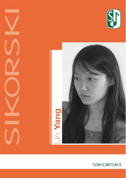



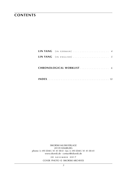## **contents**

| LIN YANG [IN GERMAN]  4       |  |
|-------------------------------|--|
| LIN YANG [IN ENGLISH] 5       |  |
| <b>CHRONOLOGICAL WORKLIST</b> |  |
|                               |  |

sikorski Musikverlage 20139 hamburg phone: (+ 49) (0)40 / 41 41 00-0 · fax: (+ 49) (0)40 / 41 41 00-41 www.sikorski.de · contact@sikorski.de

> **2 8 n o v e m b e r 2 0 1 7** cover photo © sikorski archives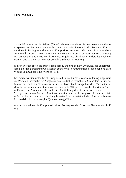## **lin yang**

Lin YANG wurde 1982 in Beijing (China) geboren. Mit sieben Jahren begann sie Klavier zu spielen und besuchte von 1995 bis 2001 die Musikmittelschule des Zentralen Konservatoriums in Beijing, um Klavier und Komposition zu lernen. Von 2001 bis 2006 studierte sie, ermöglicht durch zwei Stipendien, am Zentralen Konservatorium bei Prof. Guoping JIA Komposition und Neue-Musik-Analyse. Im Juli 2006 absolvierte sie dort das Bachelor-Examen und studiert seit 2007 bei Cornelius Schwehr in Freiburg.

In ihren Werken spielt die Suche nach dem Klang und seinem Ursprung, das Experimentieren mit Klangfarben und Geräuschen ebenso wie kontrapunktische Techniken und zarte lyrische Stimmungen eine wichtige Rolle.

Ihre Werke wurden unter ihrer Leitung beim Festival für Neue Musik in Beijing aufgeführt, des Weiteren interpretierten Mitglieder des Deutschen-Symphonie-Orchesters Berlin, das Kammerensemble für Neue Musik Berlin, das Ensemble Courage Dresden, Mitglieder des Münchener Kammerorchesters sowie das Ensemble Oktopus ihre Werke. Im Mai 2010 fand im Rahmen der Münchener Biennale die Uraufführung des Orchesterwerkes R a s e n d e s A d a g i o mit dem Münchner Rundfunkorchester unter der Leitung von Ulf Schirmer statt. Im November 2010 wurde in Hamburg ihr erstes Streichquartett mit dem Titel I n d i e s e m A u g e n b l i c k vom Amaryllis Quartett uraufgeführt.

Im Mai 2009 erhielt die Komponistin einen Förderpreis der Ernst von Siemens Musikstiftung.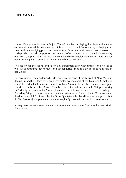## **lin yang**

Lin YANG was born in 1982 in Beijing (China). She began playing the piano at the age of seven and attended the Middle Music School of the Central Conservatory in Beijing from 1995 until 2001, studying piano and composition. From 2001 until 2006, thanks to two scholarships, she studied composition and analysis of new music at the Central Conservatory with Prof. Guoping JIA. In July 2006 she completed the Bachelor examination there and has been studying with Cornelius Schwehr in Freiburg since 2007.

The search for the sound and its origin, experimentation with timbres and noises as well as contrapuntal techniques and tender lyrical moods play an important role in her works.

Her works have been performed under her own direction at the Festival of New Music in Beijing; in addition, they have been interpreted by members of the Deutsche Symphonie Orchester Berlin, the Chamber Ensemble for New Music in Berlin, the Ensemble Courage in Dresden, members of the Munich Chamber Orchestra and the Ensemble Octopus. In May 2010, during the course of the Munich Biennale, her orchestral work R a s e n d e s A d a g i o [Speeding Adagio] received its world premiere given by the Munich Radio Orchestra under the direction of Ulf Schirmer. Her first String Quartet entitled In diesem Augenblick [In This Moment] was premiered by the Amaryllis Quartet in Hamburg in November 2010.

In May 2009 the composer received a furtherance prize of the Ernst von Siemens Music Foundation.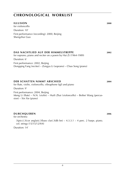# **chronological worklist**

| for violoncello                                                                                                       |      |
|-----------------------------------------------------------------------------------------------------------------------|------|
| Duration: 10'                                                                                                         |      |
| First performance (recording): 2000, Beijing<br>Shengzhui Guo                                                         |      |
|                                                                                                                       |      |
| DAS NACHTLIED AUF DER HIMMELSTREPPE<br>for soprano, piano and reciter on a poem by Hai Zi (1964-1989)                 | 2002 |
| Duration: 6'                                                                                                          |      |
| First performance: 2002, Beijing<br>Dongqing Fang (reciter) – Zongyu Li (soprano) – Chao Song (piano)                 |      |
|                                                                                                                       |      |
| <b>DER SCHATTEN NIMMT ABSCHIED</b><br>for flute, violin, violoncello, vibraphone (tgl) and piano                      | 2004 |
| Duration: 9'                                                                                                          |      |
| First performance: 2004, Beijing<br>Meng Li (flute) – N.N. (violin) – Huili Zhai (violoncello) – Beibei Wang (percus- |      |

**illusion 2000**

sion) – Xin Xie (piano)

## **DURCHQUEREN** 2006

for orchestra  $3(picc).3(cor anglais).3(bass clar).3(db bn) - 4.3.3.1 - 4 perc.2 harps. piano.$ cel. strings (15/15/12/9/4)

Duration: 14'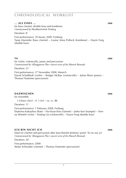## **chronological worklist**

#### **... als eines ... 2008**

for bass clarinet, double bass and trombone *Commissioned by Musikhochschule Freiburg*

Duration: 8'

First performance: 29 Jnuary 2009, Freiburg Tanja Marotzke (bass clarinet) – Louise Anna Pollock (trombone) – Xiayin Feng (double bass)

for violin, violoncello, piano and percussion *Commissioned by »Klangspuren Plus« concert series of the Munich Biennale* Duration: 21' First performance: 27 November 2008, Munich David Schultheiß (violin) – Bridget McRae (violoncello) – Julian Riem (piano) – Thomas Hastreiter (percussion)

### **dazwischen 2008**

for ensemble 1.0.bass clar.0 – 0. 1.0.0 – va. vc. db Duration: 11' First performance: 1 February 2008, Freiburg Ekaterina Kakaulina (flute) – Na-Hyun Kim (clarinet) – Jaeho ban (trumpet) – Verena Würtele (viola) – Yenting Liu (violoncello) – Xiayin Feng (double bass)

## **ich bin nicht ich 2008**

Duet for clarinet and percussion after Juan Ramón Jiménez' poem 'Yo no soy yo' *Commissioned by »Klangspuren Plus« concert series of the Munich Biennale*

Duration: 20'

First performance: 2008 Stefan Schneider (clarinet) – Thomas Hastreiter (percussion)

**ta** *CA 2008*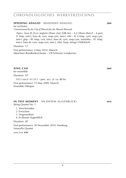## **chronologisches werkverzeichnis**

### **SPEEDING ADAGIO** (RASENDES ADAGIO) **2009**

for orchestra

*Commissioned by the City of Munich for the Munich Biennale*

2(picc, bass fl).2(cor anglais).2(bass clar).2(db bn) – 4.2.3(bass trbn).0 – 4 perc (I: timp, tom-t, bass dr, cym, susp.cym, tam-t, vibr – II: 4 timp, cym, susp.cym, tam-t, glsp – III: timp, crot, tom-t, bass dr, cym, susp.cym, marimba – IV: timp, tom-t, bass dr, cym, susp.cym, tam-t, vibr). harp. strings (10/8/6/6/4)

Duration: 17'

First performance: 4 May 2010, Munich Münchner Rundfunkorchester – Ulf Schirmer (conductor)

### **xing cao 2009**

for ensemble Duration: 10' 0.0.1.sax.0  $-0.1.0.1$  – perc. acc. yl. va. db bn

First performance: 15 May 2009, Munich Ensemble Oktopus

### **in this moment** (in diesem augenblick) **2010**

String Quartet No. 1

- *1*. Verschwinden
- *2*. Erwachen
- *3*. Vergessenheit
- *4*. In diesem Augenblick

Duration: 28'

First performance: 20 November 2010, Hamburg Amaryllis Quartet

*score:* **s i k 8785**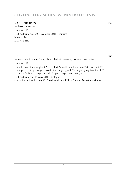## **chronologisches werkverzeichnis**

#### **nach norden 2011**

for bass clarinet solo Duration: 15' First performance: 29 November 2011, Freiburg Shizuo Oka

*score:* **s i k 8784**

#### **head is a set of the contract of the contract of the contract of the contract of the contract of the contract of the contract of the contract of the contract of the contract of the contract of the contract of the contract**

for woodwind quintet (flute, oboe, clarinet, bassoon, horn) and orchestra

Duration: 10'

2(alto flute).2(cor anglais).2(bass clar).2sax(alto sax,tenor sax).2(db bn) – 2.2.2.1 – 4 perc (I: timp, conga, bass dr, 2 cym, gong – II: 2 congas, gong, tam-t – III: 2 timp – IV: timp, conga, bass dr, 2 cym). harp. piano. strings

First performance: 11 May 2013, Cologne Orchester derHochschule für Musik und Tanz Köln – Manuel Nawri (conductor)